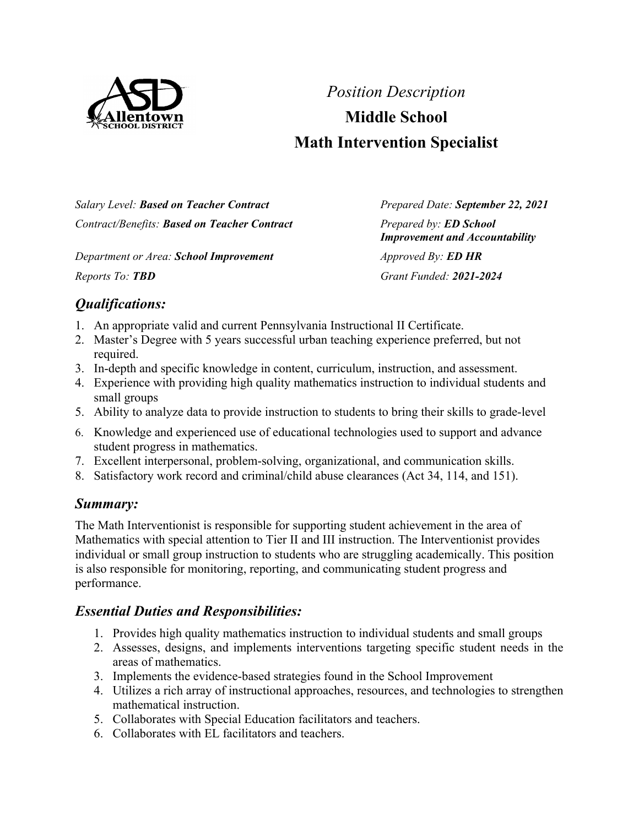

# *Position Description* **Middle School Math Intervention Specialist**

*Salary Level: Based on Teacher Contract Prepared Date: September 22, 2021 Contract/Benefits: Based on Teacher Contract Prepared by: ED School*

*Department or Area: School Improvement Approved By: ED HR Reports To: TBD Grant Funded: 2021-2024*

*Improvement and Accountability*

# *Qualifications:*

- 1. An appropriate valid and current Pennsylvania Instructional II Certificate.
- 2. Master's Degree with 5 years successful urban teaching experience preferred, but not required.
- 3. In-depth and specific knowledge in content, curriculum, instruction, and assessment.
- 4. Experience with providing high quality mathematics instruction to individual students and small groups
- 5. Ability to analyze data to provide instruction to students to bring their skills to grade-level
- 6. Knowledge and experienced use of educational technologies used to support and advance student progress in mathematics.
- 7. Excellent interpersonal, problem-solving, organizational, and communication skills.
- 8. Satisfactory work record and criminal/child abuse clearances (Act 34, 114, and 151).

# *Summary:*

The Math Interventionist is responsible for supporting student achievement in the area of Mathematics with special attention to Tier II and III instruction. The Interventionist provides individual or small group instruction to students who are struggling academically. This position is also responsible for monitoring, reporting, and communicating student progress and performance.

## *Essential Duties and Responsibilities:*

- 1. Provides high quality mathematics instruction to individual students and small groups
- 2. Assesses, designs, and implements interventions targeting specific student needs in the areas of mathematics.
- 3. Implements the evidence-based strategies found in the School Improvement
- 4. Utilizes a rich array of instructional approaches, resources, and technologies to strengthen mathematical instruction.
- 5. Collaborates with Special Education facilitators and teachers.
- 6. Collaborates with EL facilitators and teachers.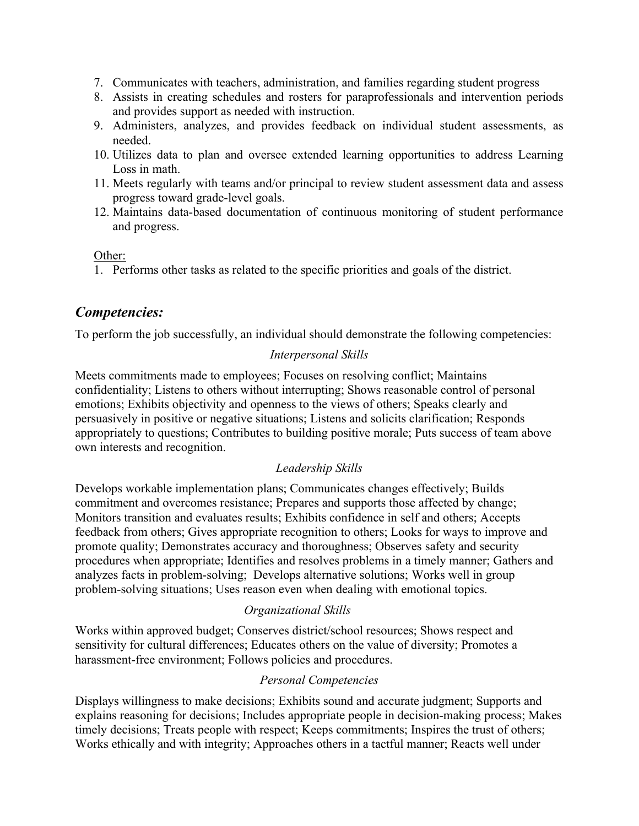- 7. Communicates with teachers, administration, and families regarding student progress
- 8. Assists in creating schedules and rosters for paraprofessionals and intervention periods and provides support as needed with instruction.
- 9. Administers, analyzes, and provides feedback on individual student assessments, as needed.
- 10. Utilizes data to plan and oversee extended learning opportunities to address Learning Loss in math.
- 11. Meets regularly with teams and/or principal to review student assessment data and assess progress toward grade-level goals.
- 12. Maintains data-based documentation of continuous monitoring of student performance and progress.

Other:

1. Performs other tasks as related to the specific priorities and goals of the district.

# *Competencies:*

To perform the job successfully, an individual should demonstrate the following competencies:

#### *Interpersonal Skills*

Meets commitments made to employees; Focuses on resolving conflict; Maintains confidentiality; Listens to others without interrupting; Shows reasonable control of personal emotions; Exhibits objectivity and openness to the views of others; Speaks clearly and persuasively in positive or negative situations; Listens and solicits clarification; Responds appropriately to questions; Contributes to building positive morale; Puts success of team above own interests and recognition.

#### *Leadership Skills*

Develops workable implementation plans; Communicates changes effectively; Builds commitment and overcomes resistance; Prepares and supports those affected by change; Monitors transition and evaluates results; Exhibits confidence in self and others; Accepts feedback from others; Gives appropriate recognition to others; Looks for ways to improve and promote quality; Demonstrates accuracy and thoroughness; Observes safety and security procedures when appropriate; Identifies and resolves problems in a timely manner; Gathers and analyzes facts in problem-solving; Develops alternative solutions; Works well in group problem-solving situations; Uses reason even when dealing with emotional topics.

#### *Organizational Skills*

Works within approved budget; Conserves district/school resources; Shows respect and sensitivity for cultural differences; Educates others on the value of diversity; Promotes a harassment-free environment; Follows policies and procedures.

## *Personal Competencies*

Displays willingness to make decisions; Exhibits sound and accurate judgment; Supports and explains reasoning for decisions; Includes appropriate people in decision-making process; Makes timely decisions; Treats people with respect; Keeps commitments; Inspires the trust of others; Works ethically and with integrity; Approaches others in a tactful manner; Reacts well under